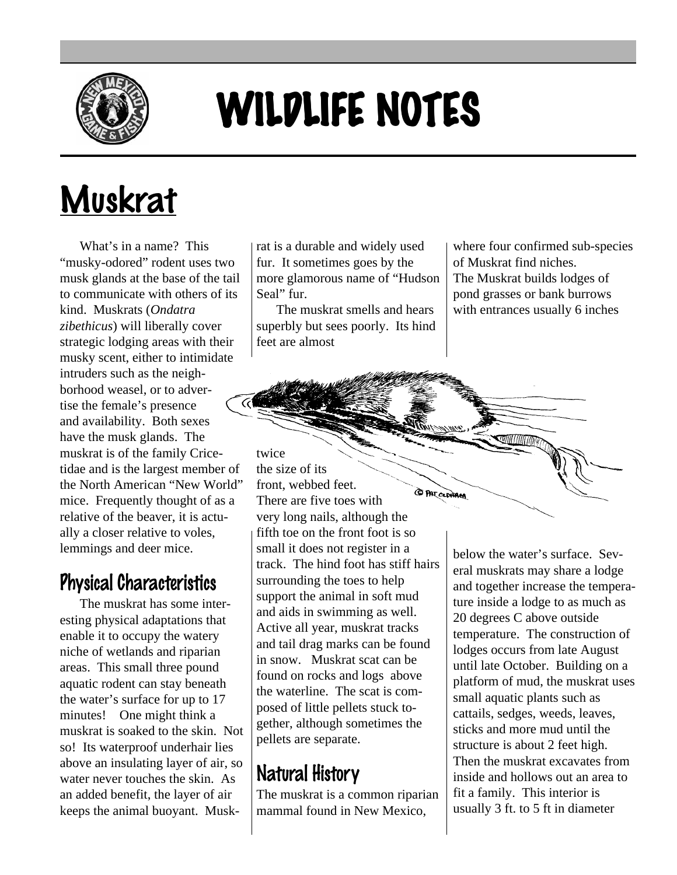

# WILDLIFE NOTES

## Muskrat

What's in a name? This "musky-odored" rodent uses two musk glands at the base of the tail to communicate with others of its kind. Muskrats (*Ondatra zibethicus*) will liberally cover strategic lodging areas with their musky scent, either to intimidate intruders such as the neighborhood weasel, or to advertise the female's presence and availability. Both sexes have the musk glands. The muskrat is of the family Cricetidae and is the largest member of the North American "New World" mice. Frequently thought of as a relative of the beaver, it is actually a closer relative to voles, lemmings and deer mice.

#### Physical Characteristics

The muskrat has some interesting physical adaptations that enable it to occupy the watery niche of wetlands and riparian areas. This small three pound aquatic rodent can stay beneath the water's surface for up to 17 minutes! One might think a muskrat is soaked to the skin. Not so! Its waterproof underhair lies above an insulating layer of air, so water never touches the skin. As an added benefit, the layer of air keeps the animal buoyant. Muskrat is a durable and widely used fur. It sometimes goes by the more glamorous name of "Hudson Seal" fur.

The muskrat smells and hears superbly but sees poorly. Its hind feet are almost

where four confirmed sub-species of Muskrat find niches. The Muskrat builds lodges of pond grasses or bank burrows with entrances usually 6 inches

twice the size of its front, webbed feet. **CO PAT CLOHAM** There are five toes with very long nails, although the fifth toe on the front foot is so small it does not register in a track. The hind foot has stiff hairs surrounding the toes to help support the animal in soft mud and aids in swimming as well. Active all year, muskrat tracks and tail drag marks can be found in snow. Muskrat scat can be found on rocks and logs above the waterline. The scat is composed of little pellets stuck together, although sometimes the pellets are separate.

#### Natural History

The muskrat is a common riparian mammal found in New Mexico,

below the water's surface. Several muskrats may share a lodge and together increase the temperature inside a lodge to as much as 20 degrees C above outside temperature. The construction of lodges occurs from late August until late October. Building on a platform of mud, the muskrat uses small aquatic plants such as cattails, sedges, weeds, leaves, sticks and more mud until the structure is about 2 feet high. Then the muskrat excavates from inside and hollows out an area to fit a family. This interior is usually 3 ft. to 5 ft in diameter